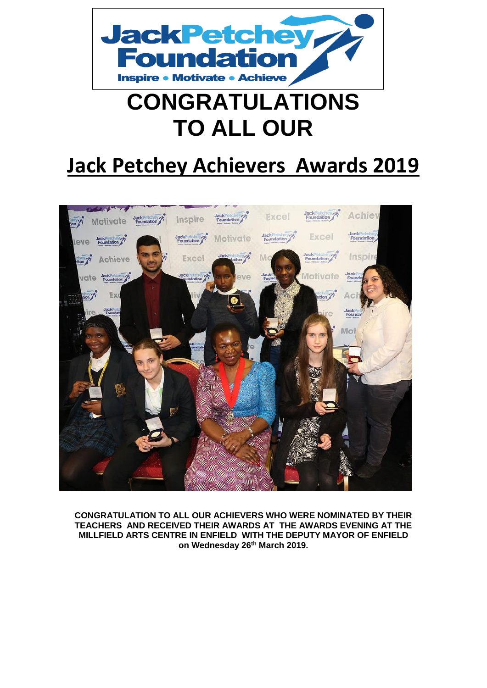

# **CONGRATULATIONS TO ALL OUR**

# **Jack Petchey Achievers Awards 2019**



**CONGRATULATION TO ALL OUR ACHIEVERS WHO WERE NOMINATED BY THEIR TEACHERS AND RECEIVED THEIR AWARDS AT THE AWARDS EVENING AT THE MILLFIELD ARTS CENTRE IN ENFIELD WITH THE DEPUTY MAYOR OF ENFIELD on Wednesday 26th March 2019.**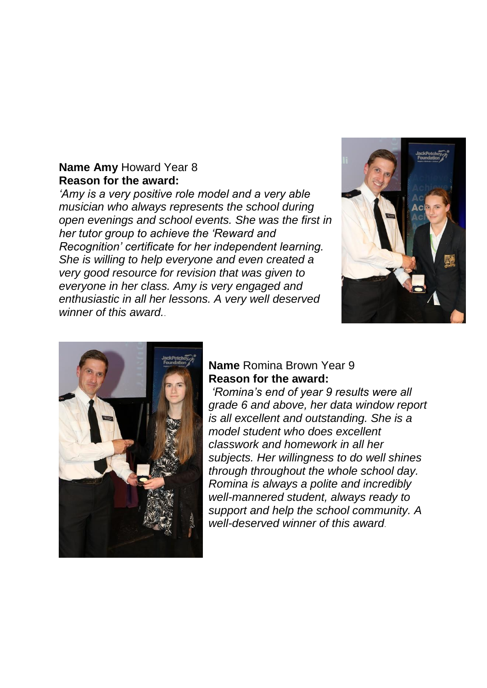#### **Name Amy** Howard Year 8 **Reason for the award:**

*'Amy is a very positive role model and a very able musician who always represents the school during open evenings and school events. She was the first in her tutor group to achieve the 'Reward and Recognition' certificate for her independent learning. She is willing to help everyone and even created a very good resource for revision that was given to everyone in her class. Amy is very engaged and enthusiastic in all her lessons. A very well deserved winner of this award.*.





#### **Name** Romina Brown Year 9 **Reason for the award:**

*'Romina's end of year 9 results were all grade 6 and above, her data window report is all excellent and outstanding. She is a model student who does excellent classwork and homework in all her subjects. Her willingness to do well shines through throughout the whole school day. Romina is always a polite and incredibly well-mannered student, always ready to support and help the school community. A well-deserved winner of this award*.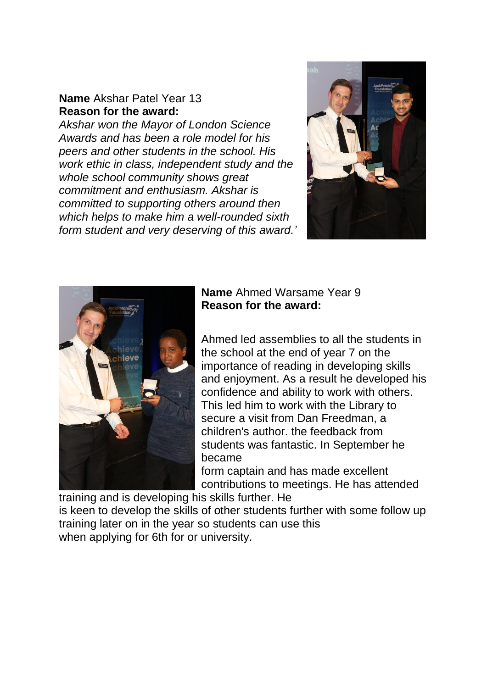#### **Name** Akshar Patel Year 13 **Reason for the award:**

*Akshar won the Mayor of London Science Awards and has been a role model for his peers and other students in the school. His work ethic in class, independent study and the whole school community shows great commitment and enthusiasm. Akshar is committed to supporting others around then which helps to make him a well-rounded sixth form student and very deserving of this award.'*





### **Name** Ahmed Warsame Year 9 **Reason for the award:**

Ahmed led assemblies to all the students in the school at the end of year 7 on the importance of reading in developing skills and enjoyment. As a result he developed his confidence and ability to work with others. This led him to work with the Library to secure a visit from Dan Freedman, a children's author. the feedback from students was fantastic. In September he became form captain and has made excellent

contributions to meetings. He has attended

training and is developing his skills further. He is keen to develop the skills of other students further with some follow up training later on in the year so students can use this when applying for 6th for or university.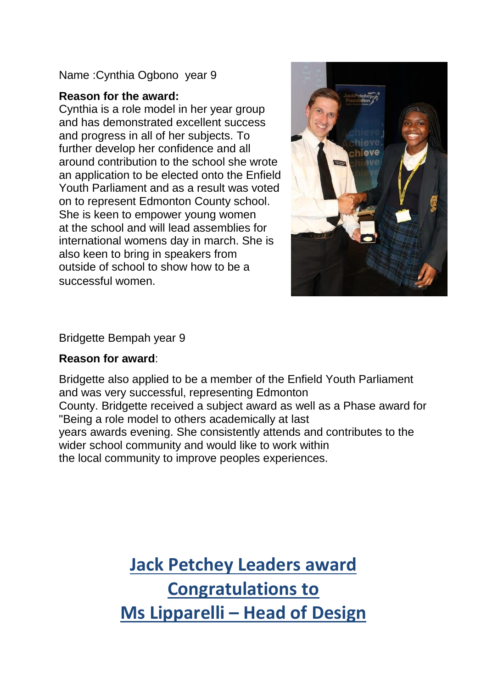Name :Cynthia Ogbono year 9

### **Reason for the award:**

Cynthia is a role model in her year group and has demonstrated excellent success and progress in all of her subjects. To further develop her confidence and all around contribution to the school she wrote an application to be elected onto the Enfield Youth Parliament and as a result was voted on to represent Edmonton County school. She is keen to empower young women at the school and will lead assemblies for international womens day in march. She is also keen to bring in speakers from outside of school to show how to be a successful women.



Bridgette Bempah year 9

### **Reason for award**:

Bridgette also applied to be a member of the Enfield Youth Parliament and was very successful, representing Edmonton County. Bridgette received a subject award as well as a Phase award for "Being a role model to others academically at last years awards evening. She consistently attends and contributes to the wider school community and would like to work within the local community to improve peoples experiences.

> **Jack Petchey Leaders award Congratulations to Ms Lipparelli – Head of Design**